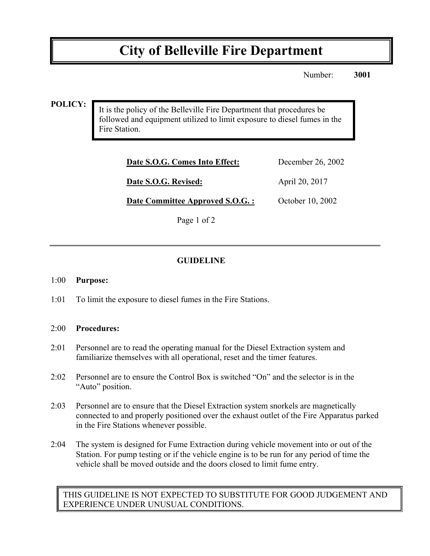# **City of Belleville Fire Department**

Number: **3001**

#### **POLICY:**

It is the policy of the Belleville Fire Department that procedures be followed and equipment utilized to limit exposure to diesel fumes in the Fire Station.

| Date S.O.G. Comes Into Effect:  | December 26, 2002 |
|---------------------------------|-------------------|
| Date S.O.G. Revised:            | April 20, 2017    |
| Date Committee Approved S.O.G.: | October 10, 2002  |

Page 1 of 2

### **GUIDELINE**

#### 1:00 **Purpose:**

1:01 To limit the exposure to diesel fumes in the Fire Stations.

#### 2:00 **Procedures:**

- 2:01 Personnel are to read the operating manual for the Diesel Extraction system and familiarize themselves with all operational, reset and the timer features.
- 2:02 Personnel are to ensure the Control Box is switched "On" and the selector is in the "Auto" position.
- 2:03 Personnel are to ensure that the Diesel Extraction system snorkels are magnetically connected to and properly positioned over the exhaust outlet of the Fire Apparatus parked in the Fire Stations whenever possible.
- 2:04 The system is designed for Fume Extraction during vehicle movement into or out of the Station. For pump testing or if the vehicle engine is to be run for any period of time the vehicle shall be moved outside and the doors closed to limit fume entry.

THIS GUIDELINE IS NOT EXPECTED TO SUBSTITUTE FOR GOOD JUDGEMENT AND EXPERIENCE UNDER UNUSUAL CONDITIONS.